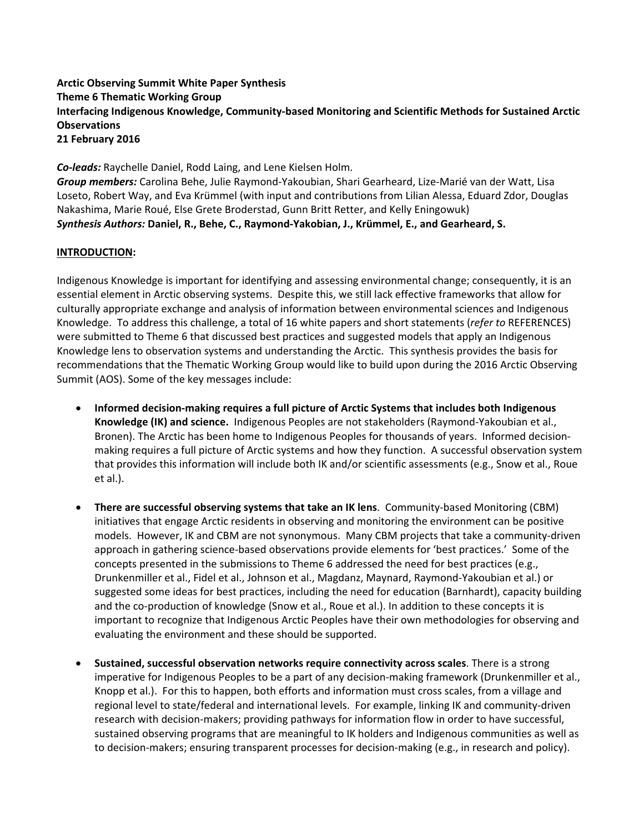# **Arctic Observing Summit White Paper Synthesis Theme 6 Thematic Working Group Interfacing Indigenous Knowledge, Community‐based Monitoring and Scientific Methods for Sustained Arctic Observations 21 February 2016**

*Co‐leads:* Raychelle Daniel, Rodd Laing, and Lene Kielsen Holm. *Group members:* Carolina Behe, Julie Raymond‐Yakoubian, Shari Gearheard, Lize‐Marié van der Watt, Lisa Loseto, Robert Way, and Eva Krümmel (with input and contributions from Lilian Alessa, Eduard Zdor, Douglas Nakashima, Marie Roué, Else Grete Broderstad, Gunn Britt Retter, and Kelly Eningowuk) *Synthesis Authors:* **Daniel, R., Behe, C., Raymond‐Yakobian, J., Krümmel, E., and Gearheard, S.**

## **INTRODUCTION:**

Indigenous Knowledge is important for identifying and assessing environmental change; consequently, it is an essential element in Arctic observing systems. Despite this, we still lack effective frameworks that allow for culturally appropriate exchange and analysis of information between environmental sciences and Indigenous Knowledge. To address this challenge, a total of 16 white papers and short statements (*refer to* REFERENCES) were submitted to Theme 6 that discussed best practices and suggested models that apply an Indigenous Knowledge lens to observation systems and understanding the Arctic. This synthesis provides the basis for recommendations that the Thematic Working Group would like to build upon during the 2016 Arctic Observing Summit (AOS). Some of the key messages include:

- **Informed decision‐making requires a full picture of Arctic Systems that includes both Indigenous Knowledge (IK) and science.** Indigenous Peoples are not stakeholders (Raymond‐Yakoubian et al., Bronen). The Arctic has been home to Indigenous Peoples for thousands of years. Informed decisionmaking requires a full picture of Arctic systems and how they function. A successful observation system that provides this information will include both IK and/or scientific assessments (e.g., Snow et al., Roue et al.).
- **There are successful observing systems that take an IK lens**. Community‐based Monitoring (CBM) initiatives that engage Arctic residents in observing and monitoring the environment can be positive models. However, IK and CBM are not synonymous. Many CBM projects that take a community‐driven approach in gathering science-based observations provide elements for 'best practices.' Some of the concepts presented in the submissions to Theme 6 addressed the need for best practices (e.g., Drunkenmiller et al., Fidel et al., Johnson et al., Magdanz, Maynard, Raymond‐Yakoubian et al.) or suggested some ideas for best practices, including the need for education (Barnhardt), capacity building and the co-production of knowledge (Snow et al., Roue et al.). In addition to these concepts it is important to recognize that Indigenous Arctic Peoples have their own methodologies for observing and evaluating the environment and these should be supported.
- **Sustained, successful observation networks require connectivity across scales**. There is a strong imperative for Indigenous Peoples to be a part of any decision-making framework (Drunkenmiller et al., Knopp et al.). For this to happen, both efforts and information must cross scales, from a village and regional level to state/federal and international levels. For example, linking IK and community‐driven research with decision‐makers; providing pathways for information flow in order to have successful, sustained observing programs that are meaningful to IK holders and Indigenous communities as well as to decision‐makers; ensuring transparent processes for decision‐making (e.g., in research and policy).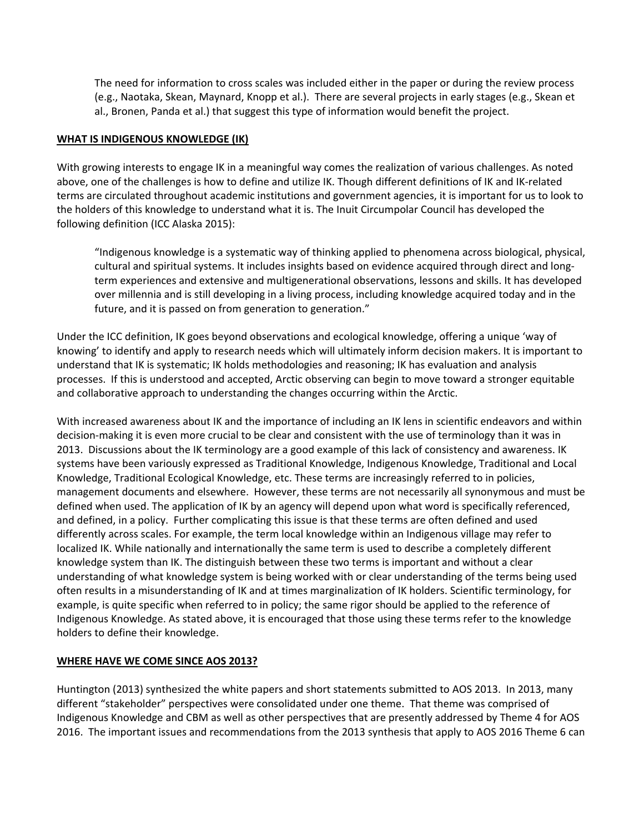The need for information to cross scales was included either in the paper or during the review process (e.g., Naotaka, Skean, Maynard, Knopp et al.). There are several projects in early stages (e.g., Skean et al., Bronen, Panda et al.) that suggest this type of information would benefit the project.

### **WHAT IS INDIGENOUS KNOWLEDGE (IK)**

With growing interests to engage IK in a meaningful way comes the realization of various challenges. As noted above, one of the challenges is how to define and utilize IK. Though different definitions of IK and IK‐related terms are circulated throughout academic institutions and government agencies, it is important for us to look to the holders of this knowledge to understand what it is. The Inuit Circumpolar Council has developed the following definition (ICC Alaska 2015):

"Indigenous knowledge is a systematic way of thinking applied to phenomena across biological, physical, cultural and spiritual systems. It includes insights based on evidence acquired through direct and long‐ term experiences and extensive and multigenerational observations, lessons and skills. It has developed over millennia and is still developing in a living process, including knowledge acquired today and in the future, and it is passed on from generation to generation."

Under the ICC definition, IK goes beyond observations and ecological knowledge, offering a unique 'way of knowing' to identify and apply to research needs which will ultimately inform decision makers. It is important to understand that IK is systematic; IK holds methodologies and reasoning; IK has evaluation and analysis processes. If this is understood and accepted, Arctic observing can begin to move toward a stronger equitable and collaborative approach to understanding the changes occurring within the Arctic.

With increased awareness about IK and the importance of including an IK lens in scientific endeavors and within decision‐making it is even more crucial to be clear and consistent with the use of terminology than it was in 2013. Discussions about the IK terminology are a good example of this lack of consistency and awareness. IK systems have been variously expressed as Traditional Knowledge, Indigenous Knowledge, Traditional and Local Knowledge, Traditional Ecological Knowledge, etc. These terms are increasingly referred to in policies, management documents and elsewhere. However, these terms are not necessarily all synonymous and must be defined when used. The application of IK by an agency will depend upon what word is specifically referenced, and defined, in a policy. Further complicating this issue is that these terms are often defined and used differently across scales. For example, the term local knowledge within an Indigenous village may refer to localized IK. While nationally and internationally the same term is used to describe a completely different knowledge system than IK. The distinguish between these two terms is important and without a clear understanding of what knowledge system is being worked with or clear understanding of the terms being used often results in a misunderstanding of IK and at times marginalization of IK holders. Scientific terminology, for example, is quite specific when referred to in policy; the same rigor should be applied to the reference of Indigenous Knowledge. As stated above, it is encouraged that those using these terms refer to the knowledge holders to define their knowledge.

### **WHERE HAVE WE COME SINCE AOS 2013?**

Huntington (2013) synthesized the white papers and short statements submitted to AOS 2013. In 2013, many different "stakeholder" perspectives were consolidated under one theme. That theme was comprised of Indigenous Knowledge and CBM as well as other perspectives that are presently addressed by Theme 4 for AOS 2016. The important issues and recommendations from the 2013 synthesis that apply to AOS 2016 Theme 6 can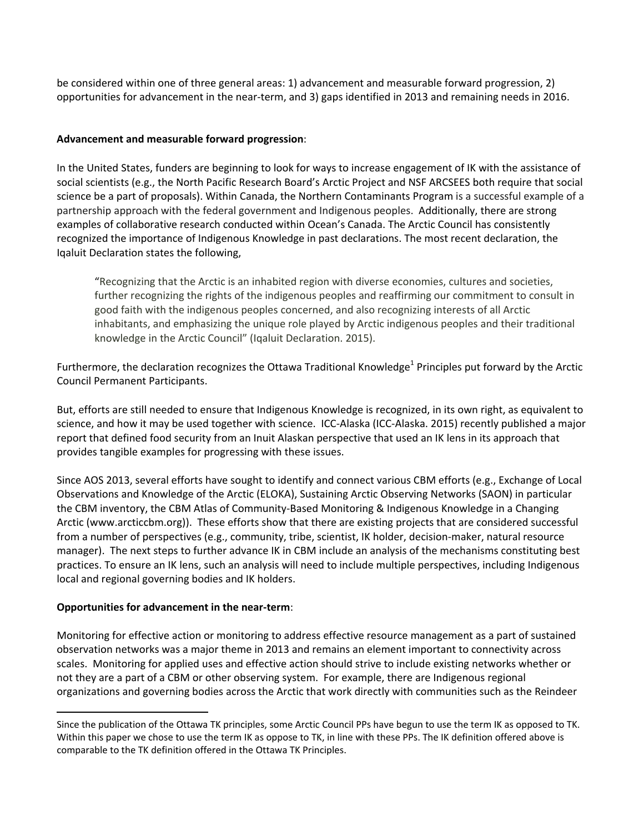be considered within one of three general areas: 1) advancement and measurable forward progression, 2) opportunities for advancement in the near‐term, and 3) gaps identified in 2013 and remaining needs in 2016.

### **Advancement and measurable forward progression**:

In the United States, funders are beginning to look for ways to increase engagement of IK with the assistance of social scientists (e.g., the North Pacific Research Board's Arctic Project and NSF ARCSEES both require that social science be a part of proposals). Within Canada, the Northern Contaminants Program is a successful example of a partnership approach with the federal government and Indigenous peoples. Additionally, there are strong examples of collaborative research conducted within Ocean's Canada. The Arctic Council has consistently recognized the importance of Indigenous Knowledge in past declarations. The most recent declaration, the Iqaluit Declaration states the following,

"Recognizing that the Arctic is an inhabited region with diverse economies, cultures and societies, further recognizing the rights of the indigenous peoples and reaffirming our commitment to consult in good faith with the indigenous peoples concerned, and also recognizing interests of all Arctic inhabitants, and emphasizing the unique role played by Arctic indigenous peoples and their traditional knowledge in the Arctic Council" (Iqaluit Declaration. 2015).

Furthermore, the declaration recognizes the Ottawa Traditional Knowledge<sup>1</sup> Principles put forward by the Arctic Council Permanent Participants.

But, efforts are still needed to ensure that Indigenous Knowledge is recognized, in its own right, as equivalent to science, and how it may be used together with science. ICC‐Alaska (ICC‐Alaska. 2015) recently published a major report that defined food security from an Inuit Alaskan perspective that used an IK lens in its approach that provides tangible examples for progressing with these issues.

Since AOS 2013, several efforts have sought to identify and connect various CBM efforts (e.g., Exchange of Local Observations and Knowledge of the Arctic (ELOKA), Sustaining Arctic Observing Networks (SAON) in particular the CBM inventory, the CBM Atlas of Community-Based Monitoring & Indigenous Knowledge in a Changing Arctic (www.arcticcbm.org)). These efforts show that there are existing projects that are considered successful from a number of perspectives (e.g., community, tribe, scientist, IK holder, decision-maker, natural resource manager). The next steps to further advance IK in CBM include an analysis of the mechanisms constituting best practices. To ensure an IK lens, such an analysis will need to include multiple perspectives, including Indigenous local and regional governing bodies and IK holders.

### **Opportunities for advancement in the near‐term**:

Monitoring for effective action or monitoring to address effective resource management as a part of sustained observation networks was a major theme in 2013 and remains an element important to connectivity across scales. Monitoring for applied uses and effective action should strive to include existing networks whether or not they are a part of a CBM or other observing system. For example, there are Indigenous regional organizations and governing bodies across the Arctic that work directly with communities such as the Reindeer

Since the publication of the Ottawa TK principles, some Arctic Council PPs have begun to use the term IK as opposed to TK. Within this paper we chose to use the term IK as oppose to TK, in line with these PPs. The IK definition offered above is comparable to the TK definition offered in the Ottawa TK Principles.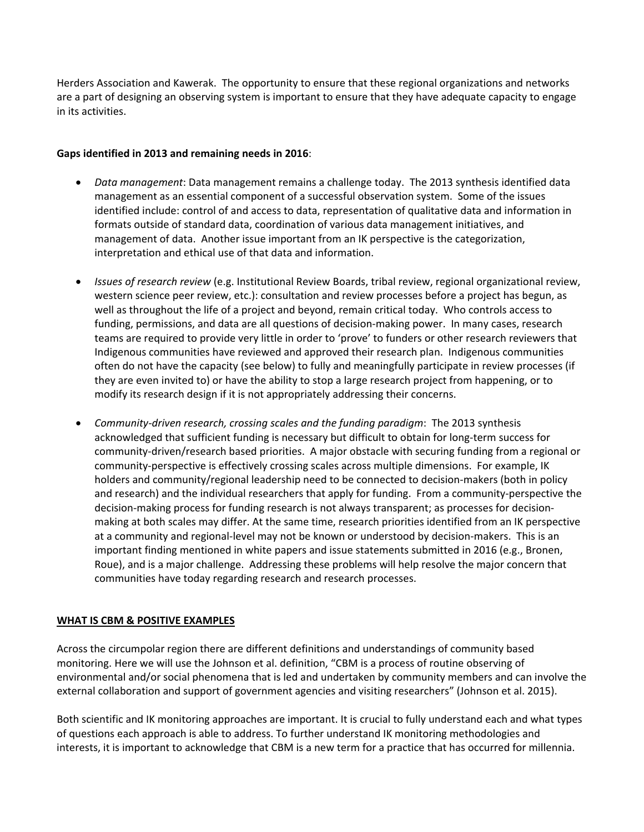Herders Association and Kawerak. The opportunity to ensure that these regional organizations and networks are a part of designing an observing system is important to ensure that they have adequate capacity to engage in its activities.

## **Gaps identified in 2013 and remaining needs in 2016**:

- *Data management*: Data management remains a challenge today. The 2013 synthesis identified data management as an essential component of a successful observation system. Some of the issues identified include: control of and access to data, representation of qualitative data and information in formats outside of standard data, coordination of various data management initiatives, and management of data. Another issue important from an IK perspective is the categorization, interpretation and ethical use of that data and information.
- *Issues of research review* (e.g. Institutional Review Boards, tribal review, regional organizational review, western science peer review, etc.): consultation and review processes before a project has begun, as well as throughout the life of a project and beyond, remain critical today. Who controls access to funding, permissions, and data are all questions of decision-making power. In many cases, research teams are required to provide very little in order to 'prove' to funders or other research reviewers that Indigenous communities have reviewed and approved their research plan. Indigenous communities often do not have the capacity (see below) to fully and meaningfully participate in review processes (if they are even invited to) or have the ability to stop a large research project from happening, or to modify its research design if it is not appropriately addressing their concerns.
- *Community‐driven research, crossing scales and the funding paradigm*: The 2013 synthesis acknowledged that sufficient funding is necessary but difficult to obtain for long‐term success for community‐driven/research based priorities. A major obstacle with securing funding from a regional or community‐perspective is effectively crossing scales across multiple dimensions. For example, IK holders and community/regional leadership need to be connected to decision-makers (both in policy and research) and the individual researchers that apply for funding. From a community‐perspective the decision-making process for funding research is not always transparent; as processes for decisionmaking at both scales may differ. At the same time, research priorities identified from an IK perspective at a community and regional‐level may not be known or understood by decision‐makers. This is an important finding mentioned in white papers and issue statements submitted in 2016 (e.g., Bronen, Roue), and is a major challenge. Addressing these problems will help resolve the major concern that communities have today regarding research and research processes.

# **WHAT IS CBM & POSITIVE EXAMPLES**

Across the circumpolar region there are different definitions and understandings of community based monitoring. Here we will use the Johnson et al. definition, "CBM is a process of routine observing of environmental and/or social phenomena that is led and undertaken by community members and can involve the external collaboration and support of government agencies and visiting researchers" (Johnson et al. 2015).

Both scientific and IK monitoring approaches are important. It is crucial to fully understand each and what types of questions each approach is able to address. To further understand IK monitoring methodologies and interests, it is important to acknowledge that CBM is a new term for a practice that has occurred for millennia.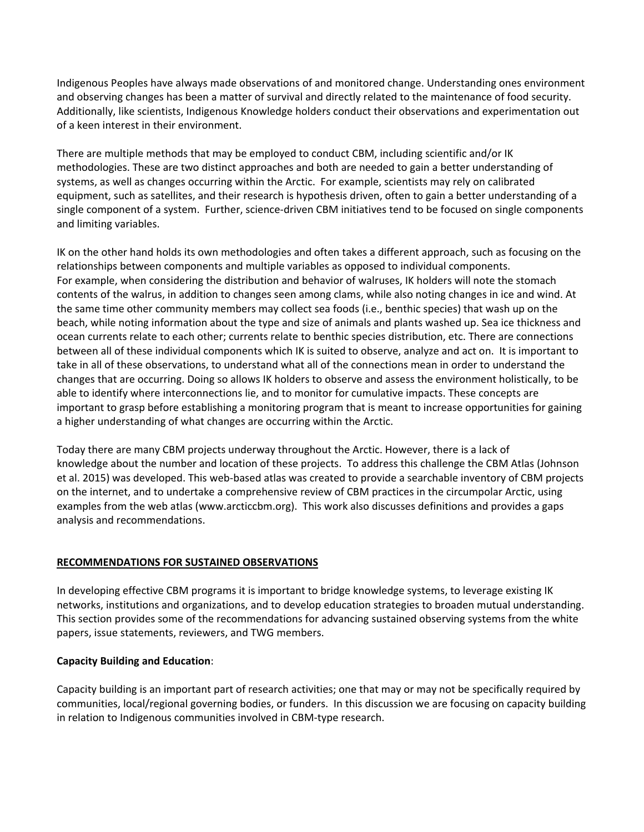Indigenous Peoples have always made observations of and monitored change. Understanding ones environment and observing changes has been a matter of survival and directly related to the maintenance of food security. Additionally, like scientists, Indigenous Knowledge holders conduct their observations and experimentation out of a keen interest in their environment.

There are multiple methods that may be employed to conduct CBM, including scientific and/or IK methodologies. These are two distinct approaches and both are needed to gain a better understanding of systems, as well as changes occurring within the Arctic. For example, scientists may rely on calibrated equipment, such as satellites, and their research is hypothesis driven, often to gain a better understanding of a single component of a system. Further, science‐driven CBM initiatives tend to be focused on single components and limiting variables.

IK on the other hand holds its own methodologies and often takes a different approach, such as focusing on the relationships between components and multiple variables as opposed to individual components. For example, when considering the distribution and behavior of walruses, IK holders will note the stomach contents of the walrus, in addition to changes seen among clams, while also noting changes in ice and wind. At the same time other community members may collect sea foods (i.e., benthic species) that wash up on the beach, while noting information about the type and size of animals and plants washed up. Sea ice thickness and ocean currents relate to each other; currents relate to benthic species distribution, etc. There are connections between all of these individual components which IK is suited to observe, analyze and act on. It is important to take in all of these observations, to understand what all of the connections mean in order to understand the changes that are occurring. Doing so allows IK holders to observe and assess the environment holistically, to be able to identify where interconnections lie, and to monitor for cumulative impacts. These concepts are important to grasp before establishing a monitoring program that is meant to increase opportunities for gaining a higher understanding of what changes are occurring within the Arctic.

Today there are many CBM projects underway throughout the Arctic. However, there is a lack of knowledge about the number and location of these projects. To address this challenge the CBM Atlas (Johnson et al. 2015) was developed. This web‐based atlas was created to provide a searchable inventory of CBM projects on the internet, and to undertake a comprehensive review of CBM practices in the circumpolar Arctic, using examples from the web atlas (www.arcticcbm.org). This work also discusses definitions and provides a gaps analysis and recommendations.

# **RECOMMENDATIONS FOR SUSTAINED OBSERVATIONS**

In developing effective CBM programs it is important to bridge knowledge systems, to leverage existing IK networks, institutions and organizations, and to develop education strategies to broaden mutual understanding. This section provides some of the recommendations for advancing sustained observing systems from the white papers, issue statements, reviewers, and TWG members.

### **Capacity Building and Education**:

Capacity building is an important part of research activities; one that may or may not be specifically required by communities, local/regional governing bodies, or funders. In this discussion we are focusing on capacity building in relation to Indigenous communities involved in CBM‐type research.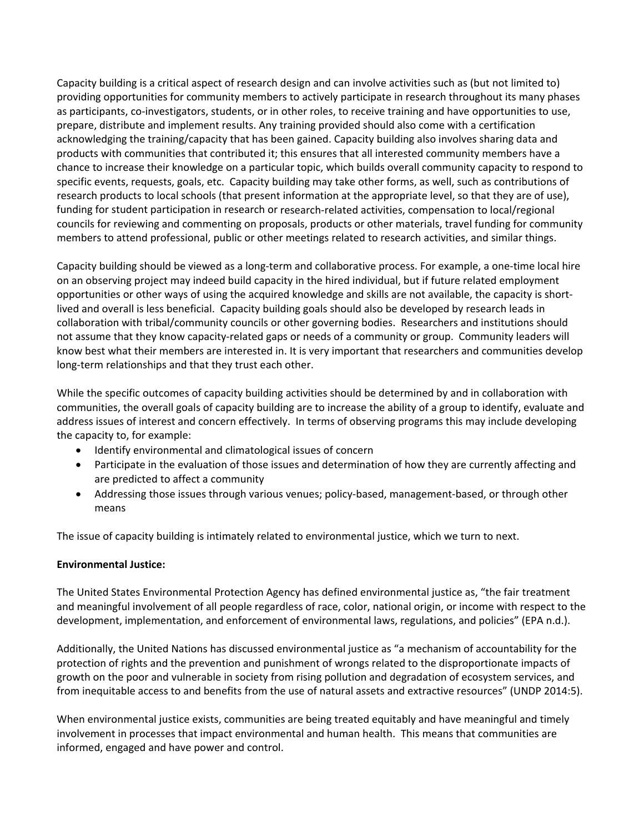Capacity building is a critical aspect of research design and can involve activities such as (but not limited to) providing opportunities for community members to actively participate in research throughout its many phases as participants, co-investigators, students, or in other roles, to receive training and have opportunities to use, prepare, distribute and implement results. Any training provided should also come with a certification acknowledging the training/capacity that has been gained. Capacity building also involves sharing data and products with communities that contributed it; this ensures that all interested community members have a chance to increase their knowledge on a particular topic, which builds overall community capacity to respond to specific events, requests, goals, etc. Capacity building may take other forms, as well, such as contributions of research products to local schools (that present information at the appropriate level, so that they are of use), funding for student participation in research or research-related activities, compensation to local/regional councils for reviewing and commenting on proposals, products or other materials, travel funding for community members to attend professional, public or other meetings related to research activities, and similar things.

Capacity building should be viewed as a long‐term and collaborative process. For example, a one‐time local hire on an observing project may indeed build capacity in the hired individual, but if future related employment opportunities or other ways of using the acquired knowledge and skills are not available, the capacity is short‐ lived and overall is less beneficial. Capacity building goals should also be developed by research leads in collaboration with tribal/community councils or other governing bodies. Researchers and institutions should not assume that they know capacity-related gaps or needs of a community or group. Community leaders will know best what their members are interested in. It is very important that researchers and communities develop long‐term relationships and that they trust each other.

While the specific outcomes of capacity building activities should be determined by and in collaboration with communities, the overall goals of capacity building are to increase the ability of a group to identify, evaluate and address issues of interest and concern effectively. In terms of observing programs this may include developing the capacity to, for example:

- Identify environmental and climatological issues of concern
- Participate in the evaluation of those issues and determination of how they are currently affecting and are predicted to affect a community
- Addressing those issues through various venues; policy-based, management-based, or through other means

The issue of capacity building is intimately related to environmental justice, which we turn to next.

### **Environmental Justice:**

The United States Environmental Protection Agency has defined environmental justice as, "the fair treatment and meaningful involvement of all people regardless of race, color, national origin, or income with respect to the development, implementation, and enforcement of environmental laws, regulations, and policies" (EPA n.d.).

Additionally, the United Nations has discussed environmental justice as "a mechanism of accountability for the protection of rights and the prevention and punishment of wrongs related to the disproportionate impacts of growth on the poor and vulnerable in society from rising pollution and degradation of ecosystem services, and from inequitable access to and benefits from the use of natural assets and extractive resources" (UNDP 2014:5).

When environmental justice exists, communities are being treated equitably and have meaningful and timely involvement in processes that impact environmental and human health. This means that communities are informed, engaged and have power and control.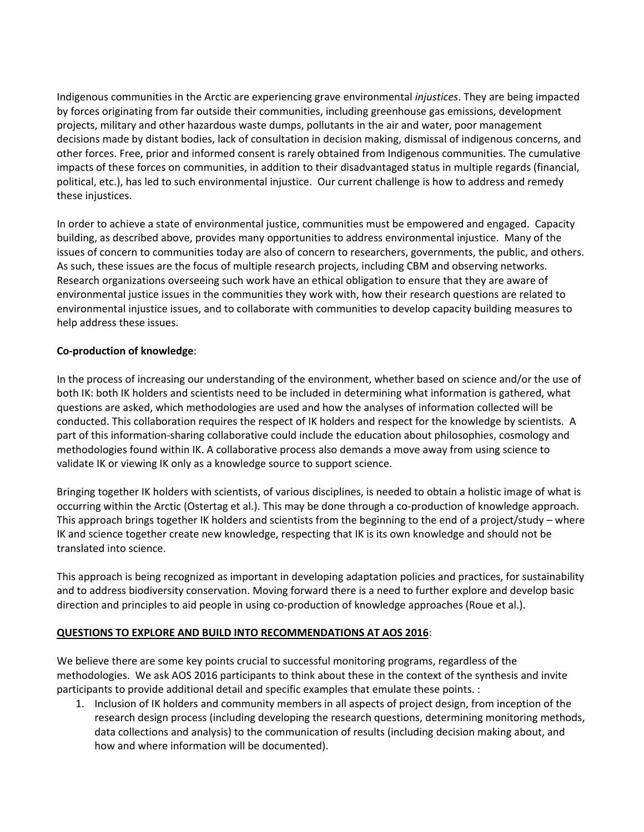Indigenous communities in the Arctic are experiencing grave environmental *injustices*. They are being impacted by forces originating from far outside their communities, including greenhouse gas emissions, development projects, military and other hazardous waste dumps, pollutants in the air and water, poor management decisions made by distant bodies, lack of consultation in decision making, dismissal of indigenous concerns, and other forces. Free, prior and informed consent is rarely obtained from Indigenous communities. The cumulative impacts of these forces on communities, in addition to their disadvantaged status in multiple regards (financial, political, etc.), has led to such environmental injustice. Our current challenge is how to address and remedy these injustices.

In order to achieve a state of environmental justice, communities must be empowered and engaged. Capacity building, as described above, provides many opportunities to address environmental injustice. Many of the issues of concern to communities today are also of concern to researchers, governments, the public, and others. As such, these issues are the focus of multiple research projects, including CBM and observing networks. Research organizations overseeing such work have an ethical obligation to ensure that they are aware of environmental justice issues in the communities they work with, how their research questions are related to environmental injustice issues, and to collaborate with communities to develop capacity building measures to help address these issues.

## **Co‐production of knowledge**:

In the process of increasing our understanding of the environment, whether based on science and/or the use of both IK: both IK holders and scientists need to be included in determining what information is gathered, what questions are asked, which methodologies are used and how the analyses of information collected will be conducted. This collaboration requires the respect of IK holders and respect for the knowledge by scientists. A part of this information‐sharing collaborative could include the education about philosophies, cosmology and methodologies found within IK. A collaborative process also demands a move away from using science to validate IK or viewing IK only as a knowledge source to support science.

Bringing together IK holders with scientists, of various disciplines, is needed to obtain a holistic image of what is occurring within the Arctic (Ostertag et al.). This may be done through a co‐production of knowledge approach. This approach brings together IK holders and scientists from the beginning to the end of a project/study – where IK and science together create new knowledge, respecting that IK is its own knowledge and should not be translated into science.

This approach is being recognized as important in developing adaptation policies and practices, for sustainability and to address biodiversity conservation. Moving forward there is a need to further explore and develop basic direction and principles to aid people in using co-production of knowledge approaches (Roue et al.).

# **QUESTIONS TO EXPLORE AND BUILD INTO RECOMMENDATIONS AT AOS 2016**:

We believe there are some key points crucial to successful monitoring programs, regardless of the methodologies. We ask AOS 2016 participants to think about these in the context of the synthesis and invite participants to provide additional detail and specific examples that emulate these points. :

1. Inclusion of IK holders and community members in all aspects of project design, from inception of the research design process (including developing the research questions, determining monitoring methods, data collections and analysis) to the communication of results (including decision making about, and how and where information will be documented).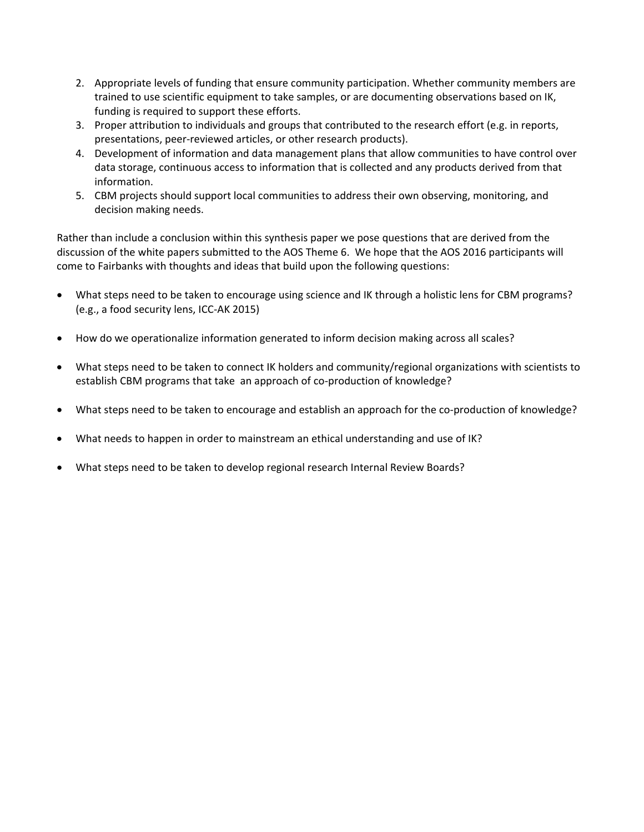- 2. Appropriate levels of funding that ensure community participation. Whether community members are trained to use scientific equipment to take samples, or are documenting observations based on IK, funding is required to support these efforts.
- 3. Proper attribution to individuals and groups that contributed to the research effort (e.g. in reports, presentations, peer‐reviewed articles, or other research products).
- 4. Development of information and data management plans that allow communities to have control over data storage, continuous access to information that is collected and any products derived from that information.
- 5. CBM projects should support local communities to address their own observing, monitoring, and decision making needs.

Rather than include a conclusion within this synthesis paper we pose questions that are derived from the discussion of the white papers submitted to the AOS Theme 6. We hope that the AOS 2016 participants will come to Fairbanks with thoughts and ideas that build upon the following questions:

- What steps need to be taken to encourage using science and IK through a holistic lens for CBM programs? (e.g., a food security lens, ICC‐AK 2015)
- How do we operationalize information generated to inform decision making across all scales?
- What steps need to be taken to connect IK holders and community/regional organizations with scientists to establish CBM programs that take an approach of co-production of knowledge?
- What steps need to be taken to encourage and establish an approach for the co‐production of knowledge?
- What needs to happen in order to mainstream an ethical understanding and use of IK?
- What steps need to be taken to develop regional research Internal Review Boards?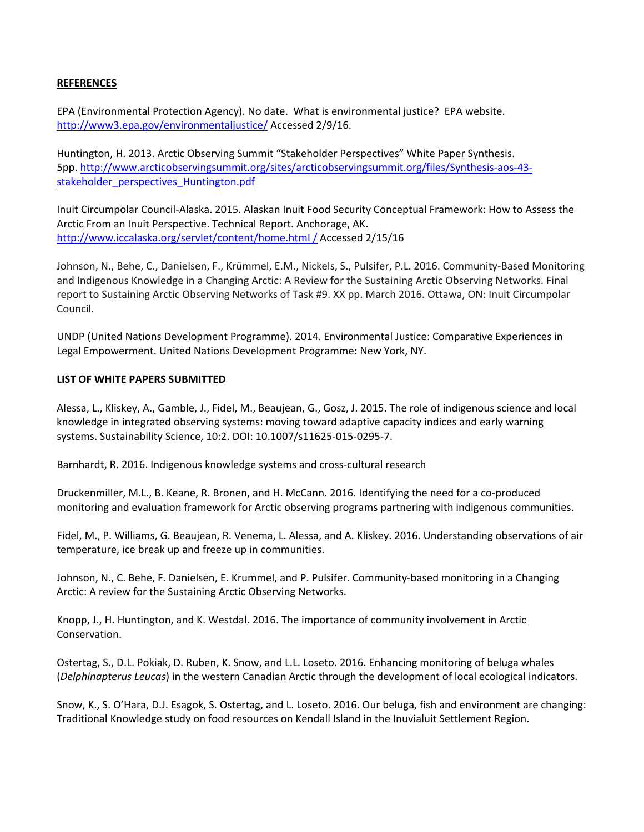### **REFERENCES**

EPA (Environmental Protection Agency). No date. What is environmental justice? EPA website. http://www3.epa.gov/environmentaljustice/ Accessed 2/9/16.

Huntington, H. 2013. Arctic Observing Summit "Stakeholder Perspectives" White Paper Synthesis. 5pp. http://www.arcticobservingsummit.org/sites/arcticobservingsummit.org/files/Synthesis‐aos‐43‐ stakeholder\_perspectives\_Huntington.pdf

Inuit Circumpolar Council‐Alaska. 2015. Alaskan Inuit Food Security Conceptual Framework: How to Assess the Arctic From an Inuit Perspective. Technical Report. Anchorage, AK. http://www.iccalaska.org/servlet/content/home.html / Accessed 2/15/16

Johnson, N., Behe, C., Danielsen, F., Krümmel, E.M., Nickels, S., Pulsifer, P.L. 2016. Community‐Based Monitoring and Indigenous Knowledge in a Changing Arctic: A Review for the Sustaining Arctic Observing Networks. Final report to Sustaining Arctic Observing Networks of Task #9. XX pp. March 2016. Ottawa, ON: Inuit Circumpolar Council.

UNDP (United Nations Development Programme). 2014. Environmental Justice: Comparative Experiences in Legal Empowerment. United Nations Development Programme: New York, NY.

#### **LIST OF WHITE PAPERS SUBMITTED**

Alessa, L., Kliskey, A., Gamble, J., Fidel, M., Beaujean, G., Gosz, J. 2015. The role of indigenous science and local knowledge in integrated observing systems: moving toward adaptive capacity indices and early warning systems. Sustainability Science, 10:2. DOI: 10.1007/s11625‐015‐0295‐7.

Barnhardt, R. 2016. Indigenous knowledge systems and cross‐cultural research

Druckenmiller, M.L., B. Keane, R. Bronen, and H. McCann. 2016. Identifying the need for a co‐produced monitoring and evaluation framework for Arctic observing programs partnering with indigenous communities.

Fidel, M., P. Williams, G. Beaujean, R. Venema, L. Alessa, and A. Kliskey. 2016. Understanding observations of air temperature, ice break up and freeze up in communities.

Johnson, N., C. Behe, F. Danielsen, E. Krummel, and P. Pulsifer. Community-based monitoring in a Changing Arctic: A review for the Sustaining Arctic Observing Networks.

Knopp, J., H. Huntington, and K. Westdal. 2016. The importance of community involvement in Arctic Conservation.

Ostertag, S., D.L. Pokiak, D. Ruben, K. Snow, and L.L. Loseto. 2016. Enhancing monitoring of beluga whales (*Delphinapterus Leucas*) in the western Canadian Arctic through the development of local ecological indicators.

Snow, K., S. O'Hara, D.J. Esagok, S. Ostertag, and L. Loseto. 2016. Our beluga, fish and environment are changing: Traditional Knowledge study on food resources on Kendall Island in the Inuvialuit Settlement Region.